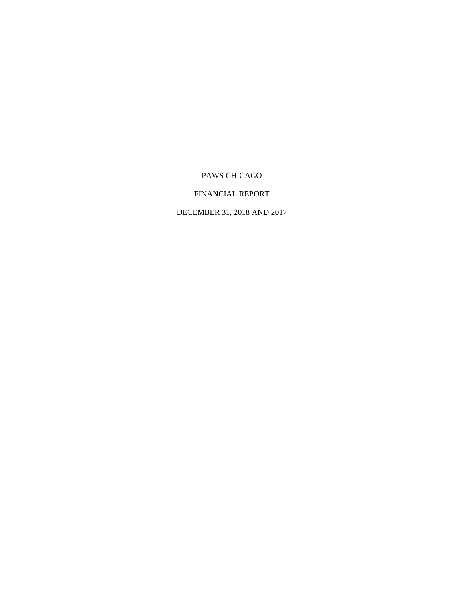# FINANCIAL REPORT

# DECEMBER 31, 2018 AND 2017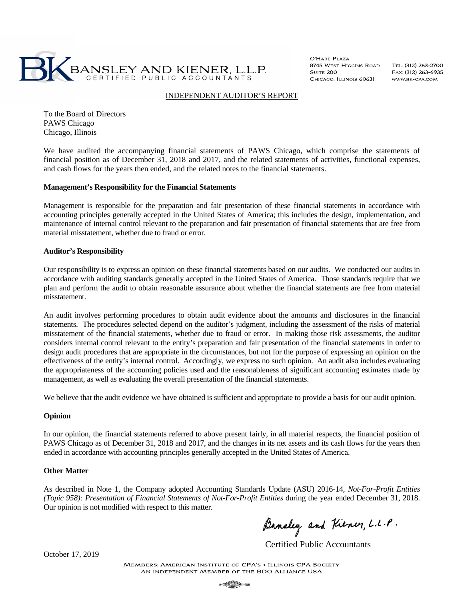

O'HARE PLAZA 8745 WEST HIGGINS ROAD **SUITE 200** CHICAGO, ILLINOIS 60631

TEL: (312) 263-2700 FAX: (312) 263-6935 WWW.BK-CPA.COM

# INDEPENDENT AUDITOR'S REPORT

To the Board of Directors PAWS Chicago Chicago, Illinois

We have audited the accompanying financial statements of PAWS Chicago, which comprise the statements of financial position as of December 31, 2018 and 2017, and the related statements of activities, functional expenses, and cash flows for the years then ended, and the related notes to the financial statements.

# **Management's Responsibility for the Financial Statements**

Management is responsible for the preparation and fair presentation of these financial statements in accordance with accounting principles generally accepted in the United States of America; this includes the design, implementation, and maintenance of internal control relevant to the preparation and fair presentation of financial statements that are free from material misstatement, whether due to fraud or error.

### **Auditor's Responsibility**

Our responsibility is to express an opinion on these financial statements based on our audits. We conducted our audits in accordance with auditing standards generally accepted in the United States of America. Those standards require that we plan and perform the audit to obtain reasonable assurance about whether the financial statements are free from material misstatement.

An audit involves performing procedures to obtain audit evidence about the amounts and disclosures in the financial statements. The procedures selected depend on the auditor's judgment, including the assessment of the risks of material misstatement of the financial statements, whether due to fraud or error. In making those risk assessments, the auditor considers internal control relevant to the entity's preparation and fair presentation of the financial statements in order to design audit procedures that are appropriate in the circumstances, but not for the purpose of expressing an opinion on the effectiveness of the entity's internal control. Accordingly, we express no such opinion. An audit also includes evaluating the appropriateness of the accounting policies used and the reasonableness of significant accounting estimates made by management, as well as evaluating the overall presentation of the financial statements.

We believe that the audit evidence we have obtained is sufficient and appropriate to provide a basis for our audit opinion.

# **Opinion**

In our opinion, the financial statements referred to above present fairly, in all material respects, the financial position of PAWS Chicago as of December 31, 2018 and 2017, and the changes in its net assets and its cash flows for the years then ended in accordance with accounting principles generally accepted in the United States of America.

# **Other Matter**

As described in Note 1, the Company adopted Accounting Standards Update (ASU) 2016-14, *Not-For-Profit Entities (Topic 958): Presentation of Financial Statements of Not-For-Profit Entities* during the year ended December 31, 2018. Our opinion is not modified with respect to this matter.

Bandley and Kiener, L.L.P.

Certified Public Accountants

October 17, 2019

MEMBERS: AMERICAN INSTITUTE OF CPA'S . ILLINOIS CPA SOCIETY AN INDEPENDENT MEMBER OF THE BDO ALLIANCE USA

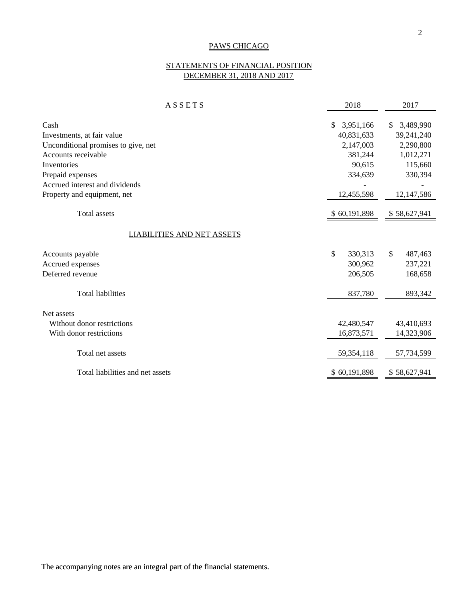# STATEMENTS OF FINANCIAL POSITION DECEMBER 31, 2018 AND 2017

| <b>ASSETS</b>                       | 2018                       | 2017            |
|-------------------------------------|----------------------------|-----------------|
|                                     |                            |                 |
| Cash                                | 3,951,166<br><sup>\$</sup> | 3,489,990<br>S. |
| Investments, at fair value          | 40,831,633                 | 39,241,240      |
| Unconditional promises to give, net | 2,147,003                  | 2,290,800       |
| Accounts receivable                 | 381,244                    | 1,012,271       |
| Inventories                         | 90,615                     | 115,660         |
| Prepaid expenses                    | 334,639                    | 330,394         |
| Accrued interest and dividends      |                            |                 |
| Property and equipment, net         | 12,455,598                 | 12,147,586      |
| Total assets                        | \$60,191,898               | \$58,627,941    |
| <b>LIABILITIES AND NET ASSETS</b>   |                            |                 |
| Accounts payable                    | \$<br>330,313              | \$<br>487,463   |
| Accrued expenses                    | 300,962                    | 237,221         |
| Deferred revenue                    | 206,505                    | 168,658         |
| <b>Total liabilities</b>            | 837,780                    | 893,342         |
| Net assets                          |                            |                 |
| Without donor restrictions          | 42,480,547                 | 43,410,693      |
| With donor restrictions             | 16,873,571                 | 14,323,906      |
| Total net assets                    | 59,354,118                 | 57,734,599      |
| Total liabilities and net assets    | \$60,191,898               | \$58,627,941    |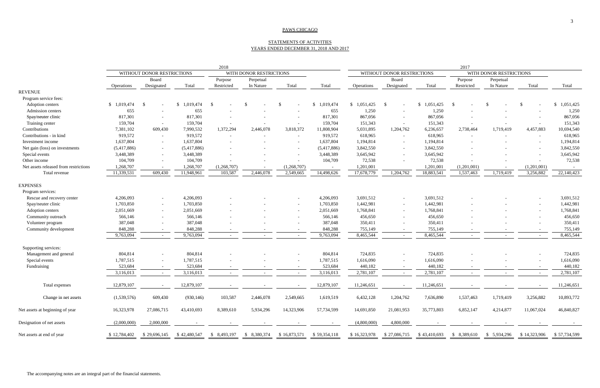# STATEMENTS OF ACTIVITIES YEARS ENDED DECEMBER 31, 2018 AND 2017

|                                       |              |                                                       |              | 2018                     |                          |                                                       |                           |                   |                          |              | 2017        |                          |                                                       |             |
|---------------------------------------|--------------|-------------------------------------------------------|--------------|--------------------------|--------------------------|-------------------------------------------------------|---------------------------|-------------------|--------------------------|--------------|-------------|--------------------------|-------------------------------------------------------|-------------|
|                                       |              | WITHOUT DONOR RESTRICTIONS<br>WITH DONOR RESTRICTIONS |              |                          |                          | WITHOUT DONOR RESTRICTIONS<br>WITH DONOR RESTRICTIONS |                           |                   |                          |              |             |                          |                                                       |             |
|                                       |              | Board                                                 |              | Purpose                  | Perpetual                |                                                       |                           | Board             |                          | Purpose      | Perpetual   |                          |                                                       |             |
|                                       | Operations   | Designated                                            | Total        | Restricted               | In Nature                | Total                                                 | Total                     | <b>Operations</b> | Designated               | Total        | Restricted  | In Nature                | Total                                                 | Total       |
| <b>REVENUE</b>                        |              |                                                       |              |                          |                          |                                                       |                           |                   |                          |              |             |                          |                                                       |             |
| Program service fees:                 |              |                                                       |              |                          |                          |                                                       |                           |                   |                          |              |             |                          |                                                       |             |
| Adoption centers                      | \$1,019,474  | - \$<br>$\sim$                                        | \$1,019,474  | <b>S</b>                 |                          | - \$<br>$\sim$                                        | 1,019,474<br>$\mathbb{S}$ | \$1,051,425       | -\$<br>$\sim$            | \$1,051,425  | - S         | -\$                      | \$                                                    | \$1,051,425 |
| Admission centers                     | 655          | $\sim$                                                | 655          |                          |                          |                                                       | 655                       | 1,250             |                          | 1,250        |             |                          |                                                       | 1,250       |
| Spay/neuter clinic                    | 817,301      | $\sim$                                                | 817,301      |                          |                          |                                                       | 817,301                   | 867,056           | $\overline{\phantom{0}}$ | 867,056      |             |                          |                                                       | 867,056     |
| Training center                       | 159,704      | $\sim$                                                | 159,704      | $\overline{\phantom{a}}$ |                          | $\sim$                                                | 159,704                   | 151,343           | $\sim$                   | 151,343      |             |                          |                                                       | 151,343     |
| Contributions                         | 7,381,102    | 609,430                                               | 7,990,532    | 1,372,294                | 2,446,078                | 3,818,372                                             | 11,808,904                | 5,031,895         | 1,204,762                | 6,236,657    | 2,738,464   | 1,719,419                | 4,457,883                                             | 10,694,540  |
| Contributions - in kind               | 919,572      | $\sim$                                                | 919,572      | $\overline{\phantom{a}}$ | $\overline{\phantom{a}}$ | $\sim$                                                | 919,572                   | 618,965           | $\sim$                   | 618,965      | $\sim$      | $\overline{\phantom{a}}$ | $\sim$                                                | 618,965     |
| Investment income                     | 1,637,804    | $\sim$                                                | 1,637,804    | $\sim$                   |                          | $\overline{\phantom{a}}$                              | 1,637,804                 | 1,194,814         | $\sim$                   | 1,194,814    |             |                          | $\sim$                                                | 1,194,814   |
| Net gain (loss) on investments        | (5,417,886)  | $\sim$                                                | (5,417,886)  |                          |                          | $\overline{\phantom{a}}$                              | (5,417,886)               | 3,842,550         | $\sim$                   | 3,842,550    |             |                          | $\sim$                                                | 3,842,550   |
| Special events                        | 3,448,389    | $\sim$                                                | 3,448,389    |                          |                          | $\sim$                                                | 3,448,389                 | 3,645,942         | $\sim$                   | 3,645,942    |             |                          | $\overline{\phantom{a}}$                              | 3,645,942   |
| Other income                          | 104,709      | $\sim$                                                | 104,709      |                          |                          | $\overline{\phantom{a}}$                              | 104,709                   | 72,538            |                          | 72,538       |             |                          |                                                       | 72,538      |
| Net assets released from restrictions | 1,268,707    | $\overline{\phantom{a}}$                              | 1,268,707    | (1,268,707)              |                          | (1,268,707)                                           |                           | 1,201,001         |                          | 1,201,001    | (1,201,001) |                          | (1,201,001)                                           |             |
| Total revenue                         | 11,339,531   | 609,430                                               | 11,948,961   | 103,587                  | 2,446,078                | 2,549,665                                             | 14,498,626                | 17,678,779        | 1,204,762                | 18,883,541   | 1,537,463   | 1,719,419                | 3,256,882                                             | 22,140,423  |
| <b>EXPENSES</b>                       |              |                                                       |              |                          |                          |                                                       |                           |                   |                          |              |             |                          |                                                       |             |
| Program services:                     |              |                                                       |              |                          |                          |                                                       |                           |                   |                          |              |             |                          |                                                       |             |
| Rescue and recovery center            | 4,206,093    |                                                       | 4,206,093    |                          |                          |                                                       | 4,206,093                 | 3,691,512         | $\sim$                   | 3,691,512    |             |                          |                                                       | 3,691,512   |
| Spay/neuter clinic                    | 1,703,850    | $\overline{\phantom{a}}$                              | 1,703,850    |                          |                          |                                                       | 1,703,850                 | 1,442,981         |                          | 1,442,981    |             |                          |                                                       | 1,442,981   |
|                                       |              | $\sim$                                                |              |                          |                          | $\sim$                                                |                           |                   | $\sim$                   |              |             |                          | $\sim$                                                |             |
| Adoption centers                      | 2,051,669    | $\sim$                                                | 2,051,669    |                          |                          | $\overline{\phantom{a}}$                              | 2,051,669                 | 1,768,841         | $\sim$                   | 1,768,841    |             |                          |                                                       | 1,768,841   |
| Community outreach                    | 566,146      | $\sim$                                                | 566,146      |                          |                          |                                                       | 566,146                   | 456,650           | $\sim$                   | 456,650      |             |                          |                                                       | 456,650     |
| Volunteer program                     | 387,048      |                                                       | 387,048      |                          |                          |                                                       | 387,048                   | 350,411           |                          | 350,411      |             |                          |                                                       | 350,411     |
| Community development                 | 848,288      | $\sim$                                                | 848,288      | $\sim$                   | $\overline{\phantom{a}}$ |                                                       | 848,288                   | 755,149           | $\sim$                   | 755,149      | $\sim$      |                          |                                                       | 755,149     |
|                                       | 9,763,094    | $\sim$                                                | 9,763,094    | $\sim$                   | $\sim$                   | $\sim$                                                | 9,763,094                 | 8,465,544         | $\sim$                   | 8,465,544    | $\sim$      | $\sim$                   | $\sim$                                                | 8,465,544   |
| Supporting services:                  |              |                                                       |              |                          |                          |                                                       |                           |                   |                          |              |             |                          |                                                       |             |
| Management and general                | 804,814      | $\overline{\phantom{a}}$                              | 804,814      |                          |                          |                                                       | 804,814                   | 724,835           | $\overline{\phantom{a}}$ | 724,835      |             |                          |                                                       | 724,835     |
| Special events                        | 1,787,515    | $\sim$                                                | 1,787,515    |                          |                          | $\sim$                                                | 1,787,515                 | 1,616,090         | $\sim$                   | 1,616,090    |             |                          |                                                       | 1,616,090   |
| Fundraising                           | 523,684      |                                                       | 523,684      | $\overline{\phantom{a}}$ |                          |                                                       | 523,684                   | 440,182           |                          | 440,182      |             |                          |                                                       | 440,182     |
|                                       | 3,116,013    |                                                       | 3,116,013    |                          |                          |                                                       | 3,116,013                 | 2,781,107         |                          | 2,781,107    |             |                          |                                                       | 2,781,107   |
| Total expenses                        | 12,879,107   | $\sim$                                                | 12,879,107   | $\sim$                   | $\overline{\phantom{a}}$ | $\sim$                                                | 12,879,107                | 11,246,651        | $\sim$                   | 11,246,651   | $\sim$      | $\sim$                   | $\sim$                                                | 11,246,651  |
|                                       |              |                                                       |              |                          |                          |                                                       |                           |                   |                          |              | 1,537,463   |                          |                                                       |             |
| Change in net assets                  | (1,539,576)  | 609,430                                               | (930, 146)   | 103,587                  | 2,446,078                | 2,549,665                                             | 1,619,519                 | 6,432,128         | 1,204,762                | 7,636,890    |             | 1,719,419                | 3,256,882                                             | 10,893,772  |
| Net assets at beginning of year       | 16,323,978   | 27,086,715                                            | 43,410,693   | 8,389,610                | 5,934,296                | 14,323,906                                            | 57,734,599                | 14,691,850        | 21,081,953               | 35,773,803   | 6,852,147   | 4,214,877                | 11,067,024                                            | 46,840,827  |
| Designation of net assets             | (2,000,000)  | 2,000,000                                             |              |                          |                          |                                                       |                           | (4,800,000)       | 4,800,000                |              |             |                          |                                                       |             |
| Net assets at end of year             | \$12,784,402 | \$29,696,145                                          | \$42,480,547 | \$ 8,493,197             | \$ 8,380,374             | \$16,873,571                                          | \$59,354,118              | \$16,323,978      | \$27,086,715             | \$43,410,693 |             |                          | $$8,389,610$ $$5,934,296$ $$14,323,906$ $$57,734,599$ |             |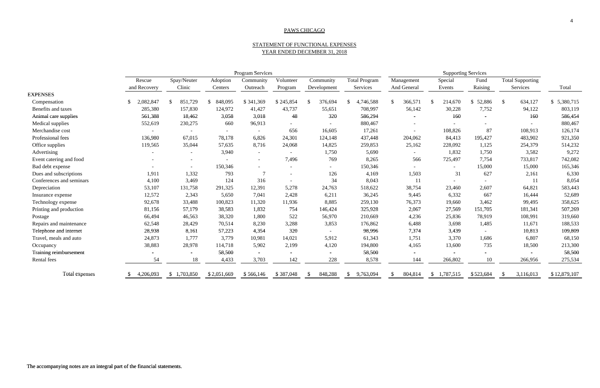# STATEMENT OF FUNCTIONAL EXPENSES YEAR ENDED DECEMBER 31, 2018

|                          | <b>Program Services</b> |                          |                          |                |                          |                          |                            |                          | <b>Supporting Services</b> |              |                         |              |
|--------------------------|-------------------------|--------------------------|--------------------------|----------------|--------------------------|--------------------------|----------------------------|--------------------------|----------------------------|--------------|-------------------------|--------------|
|                          | Rescue                  | Spay/Neuter              | Adoption                 | Community      | Volunteer                | Community                | <b>Total Program</b>       | Management               | Special                    | Fund         | <b>Total Supporting</b> |              |
|                          | and Recovery            | Clinic                   | Centers                  | Outreach       | Program                  | Development              | Services                   | And General              | Events                     | Raising      | Services                | Total        |
| <b>EXPENSES</b>          |                         |                          |                          |                |                          |                          |                            |                          |                            |              |                         |              |
| Compensation             | 2,082,847               | 851,729<br>-\$           | 848,095<br><sup>\$</sup> | \$341,369      | \$245,854                | 376,694                  | 4,746,588<br><sup>\$</sup> | 366,571<br><sup>\$</sup> | 214,670                    | 52,886<br>\$ | 634,127<br><sup>S</sup> | \$5,380,715  |
| Benefits and taxes       | 285,380                 | 157,830                  | 124,972                  | 41,427         | 43,737                   | 55,651                   | 708,997                    | 56,142                   | 30,228                     | 7,752        | 94,122                  | 803,119      |
| Animal care supplies     | 561,388                 | 18,462                   | 3,058                    | 3,018          | 48                       | 320                      | 586,294                    |                          | 160                        |              | 160                     | 586,454      |
| Medical supplies         | 552,619                 | 230,275                  | 660                      | 96,913         |                          |                          | 880,467                    | $\overline{\phantom{a}}$ | $\overline{\phantom{0}}$   |              |                         | 880,467      |
| Merchandise cost         |                         |                          |                          |                | 656                      | 16,605                   | 17,261                     |                          | 108,826                    | 87           | 108,913                 | 126,174      |
| Professional fees        | 136,980                 | 67,015                   | 78,178                   | 6,826          | 24,301                   | 124,148                  | 437,448                    | 204,062                  | 84,413                     | 195,427      | 483,902                 | 921,350      |
| Office supplies          | 119,565                 | 35,044                   | 57,635                   | 8,716          | 24,068                   | 14,825                   | 259,853                    | 25,162                   | 228,092                    | 1,125        | 254,379                 | 514,232      |
| Advertising              |                         |                          | 3,940                    | $\sim$         |                          | 1,750                    | 5,690                      |                          | 1,832                      | 1,750        | 3,582                   | 9,272        |
| Event catering and food  |                         |                          |                          |                | 7,496                    | 769                      | 8,265                      | 566                      | 725,497                    | 7,754        | 733,817                 | 742,082      |
| Bad debt expense         |                         |                          | 150,346                  |                |                          |                          | 150,346                    | $\sim$                   | $\overline{\phantom{a}}$   | 15,000       | 15,000                  | 165,346      |
| Dues and subscriptions   | 1,911                   | 1,332                    | 793                      | $\overline{7}$ | $\overline{\phantom{0}}$ | 126                      | 4,169                      | 1,503                    | 31                         | 627          | 2,161                   | 6,330        |
| Conferences and seminars | 4,100                   | 3,469                    | 124                      | 316            |                          | 34                       | 8,043                      | 11                       | $\overline{\phantom{a}}$   |              | 11                      | 8,054        |
| Depreciation             | 53,107                  | 131,758                  | 291,325                  | 12,391         | 5,278                    | 24,763                   | 518,622                    | 38,754                   | 23,460                     | 2,607        | 64,821                  | 583,443      |
| Insurance expense        | 12,572                  | 2,343                    | 5,650                    | 7,041          | 2,428                    | 6,211                    | 36,245                     | 9,445                    | 6,332                      | 667          | 16,444                  | 52,689       |
| Technology expense       | 92,678                  | 33,488                   | 100,823                  | 11,320         | 11,936                   | 8,885                    | 259,130                    | 76,373                   | 19,660                     | 3,462        | 99,495                  | 358,625      |
| Printing and production  | 81,156                  | 57,179                   | 38,583                   | 1,832          | 754                      | 146,424                  | 325,928                    | 2,067                    | 27,569                     | 151,705      | 181,341                 | 507,269      |
| Postage                  | 66,494                  | 46,563                   | 38,320                   | 1,800          | 522                      | 56,970                   | 210,669                    | 4,236                    | 25,836                     | 78,919       | 108,991                 | 319,660      |
| Repairs and maintenance  | 62,548                  | 28,429                   | 70,514                   | 8,230          | 3,288                    | 3,853                    | 176,862                    | 6,488                    | 3,698                      | 1,485        | 11,671                  | 188,533      |
| Telephone and internet   | 28,938                  | 8,161                    | 57,223                   | 4,354          | 320                      | $\overline{\phantom{a}}$ | 98,996                     | 7,374                    | 3,439                      |              | 10,813                  | 109,809      |
| Travel, meals and auto   | 24,873                  | 1,777                    | 3,779                    | 10,981         | 14,021                   | 5,912                    | 61,343                     | 1,751                    | 3,370                      | 1,686        | 6,807                   | 68,150       |
| Occupancy                | 38,883                  | 28,978                   | 114,718                  | 5,902          | 2,199                    | 4,120                    | 194,800                    | 4,165                    | 13,600                     | 735          | 18,500                  | 213,300      |
| Training reimbursement   |                         | $\overline{\phantom{a}}$ | 58,500                   |                |                          |                          | 58,500                     |                          |                            |              |                         | 58,500       |
| Rental fees              | 54                      | 18                       | 4,433                    | 3,703          | 142                      | 228                      | 8,578                      | 144                      | 266,802                    | 10           | 266,956                 | 275,534      |
| Total expenses           | 4,206,093               | \$1,703,850              | \$2,051,669              | \$566,146      | \$387,048                | 848,288<br>-SS           | 9,763,094<br><sup>S</sup>  | 804,814<br><sup>\$</sup> | 1,787,515<br>\$            | \$523,684    | 3,116,013<br>-S         | \$12,879,107 |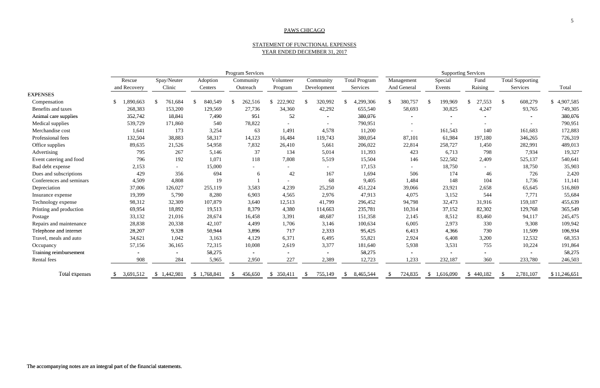5

### PAWS CHICAGO

# STATEMENT OF FUNCTIONAL EXPENSES YEAR ENDED DECEMBER 31, 2017

|                          | Program Services |                            |                |                          |                         | <b>Supporting Services</b> |                           |                          |                           |              |                          |              |
|--------------------------|------------------|----------------------------|----------------|--------------------------|-------------------------|----------------------------|---------------------------|--------------------------|---------------------------|--------------|--------------------------|--------------|
|                          | Rescue           | Spay/Neuter                | Adoption       | Community                | Volunteer               | Community                  | <b>Total Program</b>      | Management               | Special                   | Fund         | <b>Total Supporting</b>  |              |
|                          | and Recovery     | Clinic                     | Centers        | Outreach                 | Program                 | Development                | Services                  | And General              | Events                    | Raising      | Services                 | Total        |
| <b>EXPENSES</b>          |                  |                            |                |                          |                         |                            |                           |                          |                           |              |                          |              |
| Compensation             | 1,890,663<br>-8  | $\mathcal{S}$<br>761,684   | \$.<br>840,549 | 262,516<br>$\mathcal{S}$ | 222,902                 | 320,992<br><sup>\$</sup>   | 4,299,306<br>\$           | 380,757                  | 199,969<br>\$.            | \$<br>27,553 | $\frac{1}{2}$<br>608,279 | \$4,907,585  |
| Benefits and taxes       | 268,383          | 153,200                    | 129,569        | 27,736                   | 34,360                  | 42,292                     | 655,540                   | 58,693                   | 30,825                    | 4,247        | 93,765                   | 749,305      |
| Animal care supplies     | 352,742          | 18,841                     | 7,490          | 951                      | 52                      | $\overline{\phantom{a}}$   | 380,076                   |                          |                           |              |                          | 380,076      |
| Medical supplies         | 539,729          | 171,860                    | 540            | 78,822                   |                         |                            | 790,951                   |                          |                           |              |                          | 790,951      |
| Merchandise cost         | 1,641            | 173                        | 3,254          | 63                       | 1,491                   | 4,578                      | 11,200                    | $\overline{\phantom{a}}$ | 161,543                   | 140          | 161,683                  | 172,883      |
| Professional fees        | 132,504          | 38,883                     | 58,317         | 14,123                   | 16,484                  | 119,743                    | 380,054                   | 87,101                   | 61,984                    | 197,180      | 346,265                  | 726,319      |
| Office supplies          | 89,635           | 21,526                     | 54,958         | 7,832                    | 26,410                  | 5,661                      | 206,022                   | 22,814                   | 258,727                   | 1,450        | 282,991                  | 489,013      |
| Advertising              | 795              | 267                        | 5,146          | 37                       | 134                     | 5,014                      | 11,393                    | 423                      | 6,713                     | 798          | 7,934                    | 19,327       |
| Event catering and food  | 796              | 192                        | 1,071          | 118                      | 7,808                   | 5,519                      | 15,504                    | 146                      | 522,582                   | 2,409        | 525,137                  | 540,641      |
| Bad debt expense         | 2,153            | $\sim$                     | 15,000         |                          |                         | $\overline{\phantom{a}}$   | 17,153                    |                          | 18,750                    |              | 18,750                   | 35,903       |
| Dues and subscriptions   | 429              | 356                        | 694            | 6                        | 42                      | 167                        | 1,694                     | 506                      | 174                       | 46           | 726                      | 2,420        |
| Conferences and seminars | 4,509            | 4,808                      | 19             |                          |                         | 68                         | 9,405                     | 1,484                    | 148                       | 104          | 1,736                    | 11,141       |
| Depreciation             | 37,006           | 126,027                    | 255,119        | 3,583                    | 4,239                   | 25,250                     | 451,224                   | 39,066                   | 23,921                    | 2,658        | 65,645                   | 516,869      |
| Insurance expense        | 19,399           | 5,790                      | 8,280          | 6,903                    | 4,565                   | 2,976                      | 47,913                    | 4,075                    | 3,152                     | 544          | 7,771                    | 55,684       |
| Technology expense       | 98,312           | 32,309                     | 107,879        | 3,640                    | 12,513                  | 41,799                     | 296,452                   | 94,798                   | 32,473                    | 31,916       | 159,187                  | 455,639      |
| Printing and production  | 69,954           | 18,892                     | 19,513         | 8,379                    | 4,380                   | 114,663                    | 235,781                   | 10,314                   | 37,152                    | 82,302       | 129,768                  | 365,549      |
| Postage                  | 33,132           | 21,016                     | 28,674         | 16,458                   | 3,391                   | 48,687                     | 151,358                   | 2,145                    | 8,512                     | 83,460       | 94,117                   | 245,475      |
| Repairs and maintenance  | 28,838           | 20,338                     | 42,107         | 4,499                    | 1,706                   | 3,146                      | 100,634                   | 6,005                    | 2,973                     | 330          | 9,308                    | 109,942      |
| Telephone and internet   | 28,207           | 9,328                      | 50,944         | 3,896                    | 717                     | 2,333                      | 95,425                    | 6,413                    | 4,366                     | 730          | 11,509                   | 106,934      |
| Travel, meals and auto   | 34,621           | 1,042                      | 3,163          | 4,129                    | 6,371                   | 6,495                      | 55,821                    | 2,924                    | 6,408                     | 3,200        | 12,532                   | 68,353       |
| Occupancy                | 57,156           | 36,165                     | 72,315         | 10,008                   | 2,619                   | 3,377                      | 181,640                   | 5,938                    | 3,531                     | 755          | 10,224                   | 191,864      |
| Training reimbursement   |                  |                            | 58,275         |                          |                         |                            | 58,275                    |                          |                           |              |                          | 58,275       |
| Rental fees              | 908              | 284                        | 5,965          | 2,950                    | 227                     | 2,389                      | 12,723                    | 1,233                    | 232,187                   | 360          | 233,780                  | 246,503      |
| Total expenses           | -\$<br>3,691,512 | 1,442,981<br>$\mathcal{S}$ | \$1,768,841    | 456,650<br>-S            | 350,411<br>$\mathbb{S}$ | 755,149<br>\$.             | 8,465,544<br><sup>S</sup> | 724,835                  | 1,616,090<br>$\mathbb{S}$ | \$440,182    | 2,781,107                | \$11,246,651 |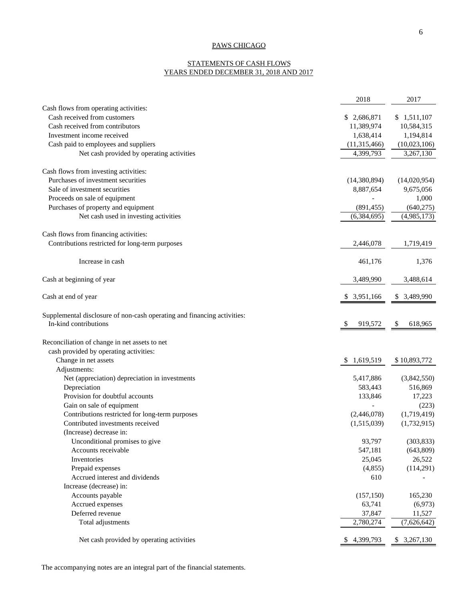#### STATEMENTS OF CASH FLOWS YEARS ENDED DECEMBER 31, 2018 AND 2017

|                                                                                                  | 2018                    | 2017            |
|--------------------------------------------------------------------------------------------------|-------------------------|-----------------|
| Cash flows from operating activities:                                                            |                         |                 |
| Cash received from customers                                                                     | \$2,686,871             | \$1,511,107     |
| Cash received from contributors                                                                  | 11,389,974              | 10,584,315      |
| Investment income received                                                                       | 1,638,414               | 1,194,814       |
| Cash paid to employees and suppliers                                                             | (11, 315, 466)          | (10,023,106)    |
| Net cash provided by operating activities                                                        | 4,399,793               | 3,267,130       |
| Cash flows from investing activities:                                                            |                         |                 |
| Purchases of investment securities                                                               | (14,380,894)            | (14,020,954)    |
| Sale of investment securities                                                                    | 8,887,654               | 9,675,056       |
| Proceeds on sale of equipment                                                                    |                         | 1,000           |
| Purchases of property and equipment                                                              | (891, 455)              | (640, 275)      |
| Net cash used in investing activities                                                            | (6,384,695)             | (4,985,173)     |
| Cash flows from financing activities:                                                            |                         |                 |
| Contributions restricted for long-term purposes                                                  | 2,446,078               | 1,719,419       |
|                                                                                                  |                         |                 |
| Increase in cash                                                                                 | 461,176                 | 1,376           |
| Cash at beginning of year                                                                        | 3,489,990               | 3,488,614       |
| Cash at end of year                                                                              | \$3,951,166             | \$ 3,489,990    |
|                                                                                                  |                         |                 |
| Supplemental disclosure of non-cash operating and financing activities:<br>In-kind contributions |                         |                 |
|                                                                                                  | 919,572<br><sup>2</sup> | 618,965<br>\$   |
| Reconciliation of change in net assets to net                                                    |                         |                 |
| cash provided by operating activities:                                                           |                         |                 |
| Change in net assets                                                                             | 1,619,519<br>-S         | \$10,893,772    |
| Adjustments:                                                                                     |                         |                 |
| Net (appreciation) depreciation in investments                                                   | 5,417,886               | (3,842,550)     |
| Depreciation                                                                                     | 583,443                 | 516,869         |
| Provision for doubtful accounts                                                                  | 133,846                 | 17,223          |
| Gain on sale of equipment                                                                        |                         | (223)           |
| Contributions restricted for long-term purposes                                                  | (2,446,078)             | (1,719,419)     |
| Contributed investments received                                                                 | (1,515,039)             | (1,732,915)     |
| (Increase) decrease in:                                                                          |                         |                 |
| Unconditional promises to give                                                                   | 93,797                  | (303, 833)      |
| Accounts receivable                                                                              | 547,181                 | (643,809)       |
| Inventories                                                                                      | 25,045                  | 26,522          |
| Prepaid expenses                                                                                 | (4, 855)                | (114,291)       |
| Accrued interest and dividends                                                                   | 610                     |                 |
| Increase (decrease) in:                                                                          |                         |                 |
| Accounts payable                                                                                 | (157, 150)              | 165,230         |
| Accrued expenses                                                                                 | 63,741                  | (6,973)         |
| Deferred revenue                                                                                 | 37,847                  | 11,527          |
| Total adjustments                                                                                | 2,780,274               | (7,626,642)     |
| Net cash provided by operating activities                                                        | 4,399,793<br>P.         | 3,267,130<br>\$ |
|                                                                                                  |                         |                 |

The accompanying notes are an integral part of the financial statements.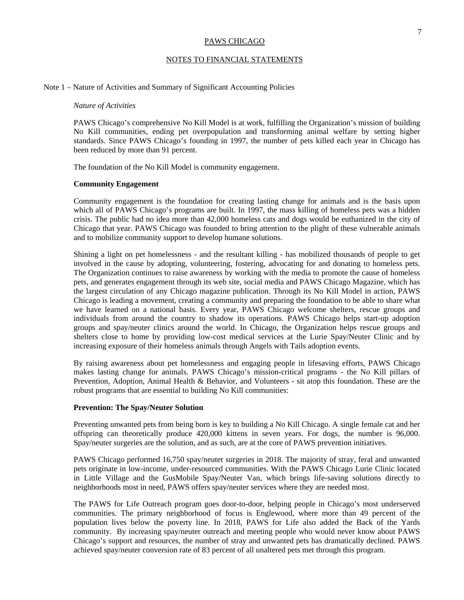# NOTES TO FINANCIAL STATEMENTS

#### Note 1 – Nature of Activities and Summary of Significant Accounting Policies

#### *Nature of Activities*

PAWS Chicago's comprehensive No Kill Model is at work, fulfilling the Organization's mission of building No Kill communities, ending pet overpopulation and transforming animal welfare by setting higher standards. Since PAWS Chicago's founding in 1997, the number of pets killed each year in Chicago has been reduced by more than 91 percent.

The foundation of the No Kill Model is community engagement.

#### **Community Engagement**

Community engagement is the foundation for creating lasting change for animals and is the basis upon which all of PAWS Chicago's programs are built. In 1997, the mass killing of homeless pets was a hidden crisis. The public had no idea more than 42,000 homeless cats and dogs would be euthanized in the city of Chicago that year. PAWS Chicago was founded to bring attention to the plight of these vulnerable animals and to mobilize community support to develop humane solutions.

Shining a light on pet homelessness - and the resultant killing - has mobilized thousands of people to get involved in the cause by adopting, volunteering, fostering, advocating for and donating to homeless pets. The Organization continues to raise awareness by working with the media to promote the cause of homeless pets, and generates engagement through its web site, social media and PAWS Chicago Magazine, which has the largest circulation of any Chicago magazine publication. Through its No Kill Model in action, PAWS Chicago is leading a movement, creating a community and preparing the foundation to be able to share what we have learned on a national basis. Every year, PAWS Chicago welcome shelters, rescue groups and individuals from around the country to shadow its operations. PAWS Chicago helps start-up adoption groups and spay/neuter clinics around the world. In Chicago, the Organization helps rescue groups and shelters close to home by providing low-cost medical services at the Lurie Spay/Neuter Clinic and by increasing exposure of their homeless animals through Angels with Tails adoption events.

By raising awareness about pet homelessness and engaging people in lifesaving efforts, PAWS Chicago makes lasting change for animals. PAWS Chicago's mission-critical programs - the No Kill pillars of Prevention, Adoption, Animal Health & Behavior, and Volunteers - sit atop this foundation. These are the robust programs that are essential to building No Kill communities:

#### **Prevention: The Spay/Neuter Solution**

Preventing unwanted pets from being born is key to building a No Kill Chicago. A single female cat and her offspring can theoretically produce 420,000 kittens in seven years. For dogs, the number is 96,000. Spay/neuter surgeries are the solution, and as such, are at the core of PAWS prevention initiatives.

PAWS Chicago performed 16,750 spay/neuter surgeries in 2018. The majority of stray, feral and unwanted pets originate in low-income, under-resourced communities. With the PAWS Chicago Lurie Clinic located in Little Village and the GusMobile Spay/Neuter Van, which brings life-saving solutions directly to neighborhoods most in need, PAWS offers spay/neuter services where they are needed most.

The PAWS for Life Outreach program goes door-to-door, helping people in Chicago's most underserved communities. The primary neighborhood of focus is Englewood, where more than 49 percent of the population lives below the poverty line. In 2018, PAWS for Life also added the Back of the Yards community. By increasing spay/neuter outreach and meeting people who would never know about PAWS Chicago's support and resources, the number of stray and unwanted pets has dramatically declined. PAWS achieved spay/neuter conversion rate of 83 percent of all unaltered pets met through this program.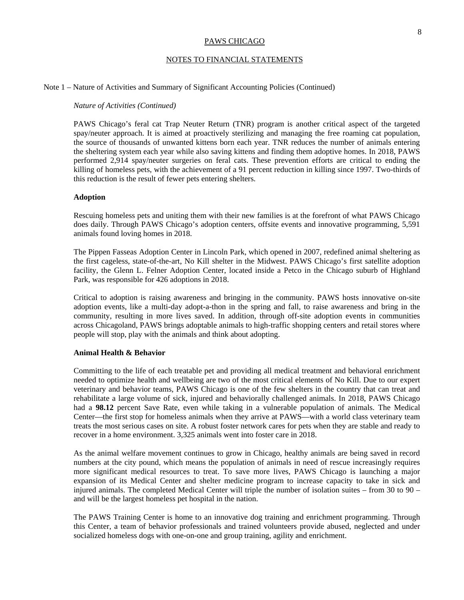### NOTES TO FINANCIAL STATEMENTS

#### Note 1 – Nature of Activities and Summary of Significant Accounting Policies (Continued)

#### *Nature of Activities (Continued)*

PAWS Chicago's feral cat Trap Neuter Return (TNR) program is another critical aspect of the targeted spay/neuter approach. It is aimed at proactively sterilizing and managing the free roaming cat population, the source of thousands of unwanted kittens born each year. TNR reduces the number of animals entering the sheltering system each year while also saving kittens and finding them adoptive homes. In 2018, PAWS performed 2,914 spay/neuter surgeries on feral cats. These prevention efforts are critical to ending the killing of homeless pets, with the achievement of a 91 percent reduction in killing since 1997. Two-thirds of this reduction is the result of fewer pets entering shelters.

### **Adoption**

Rescuing homeless pets and uniting them with their new families is at the forefront of what PAWS Chicago does daily. Through PAWS Chicago's adoption centers, offsite events and innovative programming, 5,591 animals found loving homes in 2018.

The Pippen Fasseas Adoption Center in Lincoln Park, which opened in 2007, redefined animal sheltering as the first cageless, state-of-the-art, No Kill shelter in the Midwest. PAWS Chicago's first satellite adoption facility, the Glenn L. Felner Adoption Center, located inside a Petco in the Chicago suburb of Highland Park, was responsible for 426 adoptions in 2018.

Critical to adoption is raising awareness and bringing in the community. PAWS hosts innovative on-site adoption events, like a multi-day adopt-a-thon in the spring and fall, to raise awareness and bring in the community, resulting in more lives saved. In addition, through off-site adoption events in communities across Chicagoland, PAWS brings adoptable animals to high-traffic shopping centers and retail stores where people will stop, play with the animals and think about adopting.

#### **Animal Health & Behavior**

Committing to the life of each treatable pet and providing all medical treatment and behavioral enrichment needed to optimize health and wellbeing are two of the most critical elements of No Kill. Due to our expert veterinary and behavior teams, PAWS Chicago is one of the few shelters in the country that can treat and rehabilitate a large volume of sick, injured and behaviorally challenged animals. In 2018, PAWS Chicago had a **98.12** percent Save Rate, even while taking in a vulnerable population of animals. The Medical Center—the first stop for homeless animals when they arrive at PAWS—with a world class veterinary team treats the most serious cases on site. A robust foster network cares for pets when they are stable and ready to recover in a home environment. 3,325 animals went into foster care in 2018.

As the animal welfare movement continues to grow in Chicago, healthy animals are being saved in record numbers at the city pound, which means the population of animals in need of rescue increasingly requires more significant medical resources to treat. To save more lives, PAWS Chicago is launching a major expansion of its Medical Center and shelter medicine program to increase capacity to take in sick and injured animals. The completed Medical Center will triple the number of isolation suites – from 30 to 90 – and will be the largest homeless pet hospital in the nation.

The PAWS Training Center is home to an innovative dog training and enrichment programming. Through this Center, a team of behavior professionals and trained volunteers provide abused, neglected and under socialized homeless dogs with one-on-one and group training, agility and enrichment.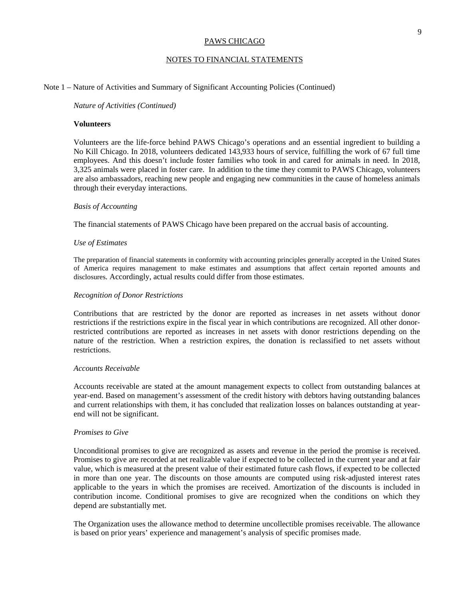### NOTES TO FINANCIAL STATEMENTS

#### Note 1 – Nature of Activities and Summary of Significant Accounting Policies (Continued)

*Nature of Activities (Continued)* 

#### **Volunteers**

Volunteers are the life-force behind PAWS Chicago's operations and an essential ingredient to building a No Kill Chicago. In 2018, volunteers dedicated 143,933 hours of service, fulfilling the work of 67 full time employees. And this doesn't include foster families who took in and cared for animals in need. In 2018, 3,325 animals were placed in foster care. In addition to the time they commit to PAWS Chicago, volunteers are also ambassadors, reaching new people and engaging new communities in the cause of homeless animals through their everyday interactions.

#### *Basis of Accounting*

The financial statements of PAWS Chicago have been prepared on the accrual basis of accounting.

#### *Use of Estimates*

The preparation of financial statements in conformity with accounting principles generally accepted in the United States of America requires management to make estimates and assumptions that affect certain reported amounts and disclosures. Accordingly, actual results could differ from those estimates.

#### *Recognition of Donor Restrictions*

Contributions that are restricted by the donor are reported as increases in net assets without donor restrictions if the restrictions expire in the fiscal year in which contributions are recognized. All other donorrestricted contributions are reported as increases in net assets with donor restrictions depending on the nature of the restriction. When a restriction expires, the donation is reclassified to net assets without restrictions.

#### *Accounts Receivable*

Accounts receivable are stated at the amount management expects to collect from outstanding balances at year-end. Based on management's assessment of the credit history with debtors having outstanding balances and current relationships with them, it has concluded that realization losses on balances outstanding at yearend will not be significant.

#### *Promises to Give*

Unconditional promises to give are recognized as assets and revenue in the period the promise is received. Promises to give are recorded at net realizable value if expected to be collected in the current year and at fair value, which is measured at the present value of their estimated future cash flows, if expected to be collected in more than one year. The discounts on those amounts are computed using risk-adjusted interest rates applicable to the years in which the promises are received. Amortization of the discounts is included in contribution income. Conditional promises to give are recognized when the conditions on which they depend are substantially met.

The Organization uses the allowance method to determine uncollectible promises receivable. The allowance is based on prior years' experience and management's analysis of specific promises made.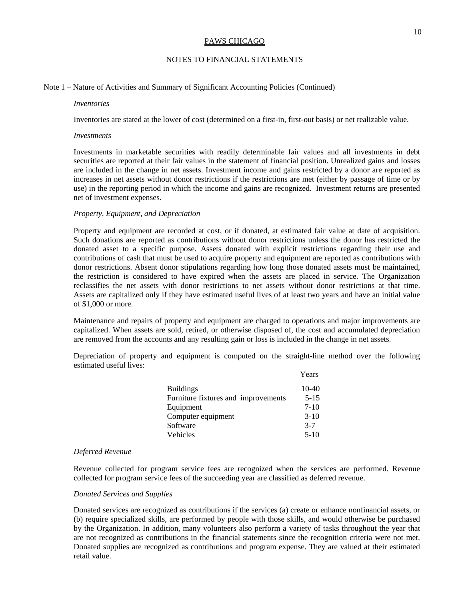# NOTES TO FINANCIAL STATEMENTS

#### Note 1 – Nature of Activities and Summary of Significant Accounting Policies (Continued)

#### *Inventories*

Inventories are stated at the lower of cost (determined on a first-in, first-out basis) or net realizable value.

#### *Investments*

Investments in marketable securities with readily determinable fair values and all investments in debt securities are reported at their fair values in the statement of financial position. Unrealized gains and losses are included in the change in net assets. Investment income and gains restricted by a donor are reported as increases in net assets without donor restrictions if the restrictions are met (either by passage of time or by use) in the reporting period in which the income and gains are recognized. Investment returns are presented net of investment expenses.

#### *Property, Equipment, and Depreciation*

Property and equipment are recorded at cost, or if donated, at estimated fair value at date of acquisition. Such donations are reported as contributions without donor restrictions unless the donor has restricted the donated asset to a specific purpose. Assets donated with explicit restrictions regarding their use and contributions of cash that must be used to acquire property and equipment are reported as contributions with donor restrictions. Absent donor stipulations regarding how long those donated assets must be maintained, the restriction is considered to have expired when the assets are placed in service. The Organization reclassifies the net assets with donor restrictions to net assets without donor restrictions at that time. Assets are capitalized only if they have estimated useful lives of at least two years and have an initial value of \$1,000 or more.

Maintenance and repairs of property and equipment are charged to operations and major improvements are capitalized. When assets are sold, retired, or otherwise disposed of, the cost and accumulated depreciation are removed from the accounts and any resulting gain or loss is included in the change in net assets.

Depreciation of property and equipment is computed on the straight-line method over the following estimated useful lives:

|                                     | Years    |
|-------------------------------------|----------|
| <b>Buildings</b>                    | $10-40$  |
| Furniture fixtures and improvements | $5 - 15$ |
| Equipment                           | $7 - 10$ |
| Computer equipment                  | $3-10$   |
| Software                            | $3 - 7$  |
| Vehicles                            | $5-10$   |

#### *Deferred Revenue*

Revenue collected for program service fees are recognized when the services are performed. Revenue collected for program service fees of the succeeding year are classified as deferred revenue.

#### *Donated Services and Supplies*

Donated services are recognized as contributions if the services (a) create or enhance nonfinancial assets, or (b) require specialized skills, are performed by people with those skills, and would otherwise be purchased by the Organization. In addition, many volunteers also perform a variety of tasks throughout the year that are not recognized as contributions in the financial statements since the recognition criteria were not met. Donated supplies are recognized as contributions and program expense. They are valued at their estimated retail value.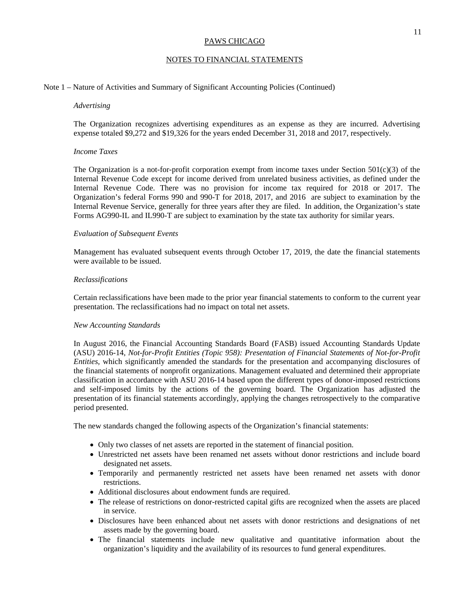# NOTES TO FINANCIAL STATEMENTS

#### Note 1 – Nature of Activities and Summary of Significant Accounting Policies (Continued)

#### *Advertising*

The Organization recognizes advertising expenditures as an expense as they are incurred. Advertising expense totaled \$9,272 and \$19,326 for the years ended December 31, 2018 and 2017, respectively.

#### *Income Taxes*

The Organization is a not-for-profit corporation exempt from income taxes under Section  $501(c)(3)$  of the Internal Revenue Code except for income derived from unrelated business activities, as defined under the Internal Revenue Code. There was no provision for income tax required for 2018 or 2017. The Organization's federal Forms 990 and 990-T for 2018, 2017, and 2016 are subject to examination by the Internal Revenue Service, generally for three years after they are filed. In addition, the Organization's state Forms AG990-IL and IL990-T are subject to examination by the state tax authority for similar years.

#### *Evaluation of Subsequent Events*

Management has evaluated subsequent events through October 17, 2019, the date the financial statements were available to be issued.

#### *Reclassifications*

Certain reclassifications have been made to the prior year financial statements to conform to the current year presentation. The reclassifications had no impact on total net assets.

#### *New Accounting Standards*

In August 2016, the Financial Accounting Standards Board (FASB) issued Accounting Standards Update (ASU) 2016-14, *Not-for-Profit Entities (Topic 958): Presentation of Financial Statements of Not-for-Profit Entities,* which significantly amended the standards for the presentation and accompanying disclosures of the financial statements of nonprofit organizations. Management evaluated and determined their appropriate classification in accordance with ASU 2016-14 based upon the different types of donor-imposed restrictions and self-imposed limits by the actions of the governing board. The Organization has adjusted the presentation of its financial statements accordingly, applying the changes retrospectively to the comparative period presented.

The new standards changed the following aspects of the Organization's financial statements:

- Only two classes of net assets are reported in the statement of financial position.
- Unrestricted net assets have been renamed net assets without donor restrictions and include board designated net assets.
- Temporarily and permanently restricted net assets have been renamed net assets with donor restrictions.
- Additional disclosures about endowment funds are required.
- The release of restrictions on donor-restricted capital gifts are recognized when the assets are placed in service.
- Disclosures have been enhanced about net assets with donor restrictions and designations of net assets made by the governing board.
- The financial statements include new qualitative and quantitative information about the organization's liquidity and the availability of its resources to fund general expenditures.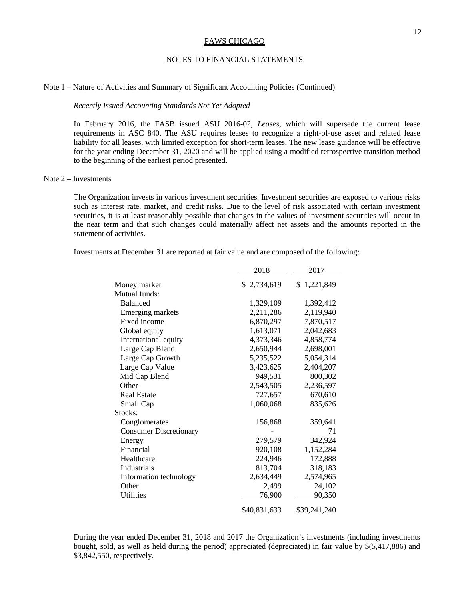# NOTES TO FINANCIAL STATEMENTS

# Note 1 – Nature of Activities and Summary of Significant Accounting Policies (Continued)

#### *Recently Issued Accounting Standards Not Yet Adopted*

In February 2016, the FASB issued ASU 2016-02, *Leases,* which will supersede the current lease requirements in ASC 840. The ASU requires leases to recognize a right-of-use asset and related lease liability for all leases, with limited exception for short-term leases. The new lease guidance will be effective for the year ending December 31, 2020 and will be applied using a modified retrospective transition method to the beginning of the earliest period presented.

#### Note 2 – Investments

The Organization invests in various investment securities. Investment securities are exposed to various risks such as interest rate, market, and credit risks. Due to the level of risk associated with certain investment securities, it is at least reasonably possible that changes in the values of investment securities will occur in the near term and that such changes could materially affect net assets and the amounts reported in the statement of activities.

Investments at December 31 are reported at fair value and are composed of the following:

|                               | 2018         | 2017         |
|-------------------------------|--------------|--------------|
| Money market                  | \$2,734,619  | \$1,221,849  |
| Mutual funds:                 |              |              |
| <b>Balanced</b>               | 1,329,109    | 1,392,412    |
| Emerging markets              | 2,211,286    | 2,119,940    |
| Fixed income                  | 6,870,297    | 7,870,517    |
| Global equity                 | 1,613,071    | 2,042,683    |
| International equity          | 4,373,346    | 4,858,774    |
| Large Cap Blend               | 2,650,944    | 2,698,001    |
| Large Cap Growth              | 5,235,522    | 5,054,314    |
| Large Cap Value               | 3,423,625    | 2,404,207    |
| Mid Cap Blend                 | 949,531      | 800,302      |
| Other                         | 2,543,505    | 2,236,597    |
| <b>Real Estate</b>            | 727,657      | 670,610      |
| Small Cap                     | 1,060,068    | 835,626      |
| Stocks:                       |              |              |
| Conglomerates                 | 156,868      | 359,641      |
| <b>Consumer Discretionary</b> |              | 71           |
| Energy                        | 279,579      | 342,924      |
| Financial                     | 920,108      | 1,152,284    |
| Healthcare                    | 224,946      | 172,888      |
| <b>Industrials</b>            | 813,704      | 318,183      |
| Information technology        | 2,634,449    | 2,574,965    |
| Other                         | 2,499        | 24,102       |
| Utilities                     | 76,900       | 90,350       |
|                               | \$40,831,633 | \$39,241,240 |

During the year ended December 31, 2018 and 2017 the Organization's investments (including investments bought, sold, as well as held during the period) appreciated (depreciated) in fair value by \$(5,417,886) and \$3,842,550, respectively.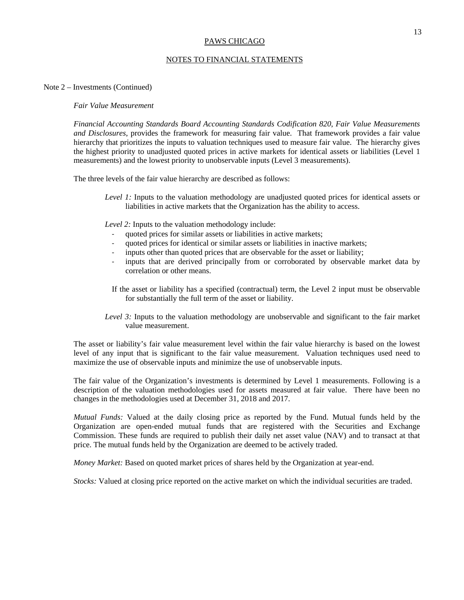#### NOTES TO FINANCIAL STATEMENTS

#### Note 2 – Investments (Continued)

#### *Fair Value Measurement*

*Financial Accounting Standards Board Accounting Standards Codification 820*, *Fair Value Measurements and Disclosures*, provides the framework for measuring fair value. That framework provides a fair value hierarchy that prioritizes the inputs to valuation techniques used to measure fair value. The hierarchy gives the highest priority to unadjusted quoted prices in active markets for identical assets or liabilities (Level 1 measurements) and the lowest priority to unobservable inputs (Level 3 measurements).

The three levels of the fair value hierarchy are described as follows:

*Level 1:* Inputs to the valuation methodology are unadjusted quoted prices for identical assets or liabilities in active markets that the Organization has the ability to access.

*Level 2:* Inputs to the valuation methodology include:

- ‐ quoted prices for similar assets or liabilities in active markets;
- ‐ quoted prices for identical or similar assets or liabilities in inactive markets;
- inputs other than quoted prices that are observable for the asset or liability;
- ‐ inputs that are derived principally from or corroborated by observable market data by correlation or other means.
- If the asset or liability has a specified (contractual) term, the Level 2 input must be observable for substantially the full term of the asset or liability.
- *Level 3:* Inputs to the valuation methodology are unobservable and significant to the fair market value measurement.

The asset or liability's fair value measurement level within the fair value hierarchy is based on the lowest level of any input that is significant to the fair value measurement. Valuation techniques used need to maximize the use of observable inputs and minimize the use of unobservable inputs.

The fair value of the Organization's investments is determined by Level 1 measurements. Following is a description of the valuation methodologies used for assets measured at fair value. There have been no changes in the methodologies used at December 31, 2018 and 2017.

*Mutual Funds:* Valued at the daily closing price as reported by the Fund. Mutual funds held by the Organization are open-ended mutual funds that are registered with the Securities and Exchange Commission. These funds are required to publish their daily net asset value (NAV) and to transact at that price. The mutual funds held by the Organization are deemed to be actively traded.

*Money Market:* Based on quoted market prices of shares held by the Organization at year-end.

*Stocks:* Valued at closing price reported on the active market on which the individual securities are traded.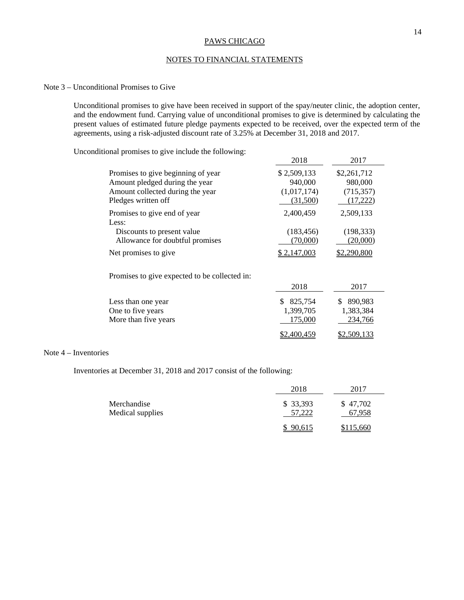# NOTES TO FINANCIAL STATEMENTS

# Note 3 – Unconditional Promises to Give

Unconditional promises to give have been received in support of the spay/neuter clinic, the adoption center, and the endowment fund. Carrying value of unconditional promises to give is determined by calculating the present values of estimated future pledge payments expected to be received, over the expected term of the agreements, using a risk-adjusted discount rate of 3.25% at December 31, 2018 and 2017.

Unconditional promises to give include the following:

|                                               | 2018           | 2017               |
|-----------------------------------------------|----------------|--------------------|
| Promises to give beginning of year            | \$2,509,133    | \$2,261,712        |
| Amount pledged during the year                | 940,000        | 980,000            |
| Amount collected during the year              | (1,017,174)    | (715, 357)         |
| Pledges written off                           | (31,500)       | (17,222)           |
| Promises to give end of year                  | 2,400,459      | 2,509,133          |
| Less:                                         |                |                    |
| Discounts to present value                    | (183, 456)     | (198, 333)         |
| Allowance for doubtful promises               | (70,000)       | (20,000)           |
| Net promises to give                          | \$2,147,003    | <u>\$2,290,800</u> |
| Promises to give expected to be collected in: |                |                    |
|                                               | 2018           | 2017               |
| Less than one year                            | 825,754<br>\$. | 890,983<br>S.      |
| One to five years                             | 1,399,705      | 1,383,384          |
| More than five years                          | 175,000        | 234,766            |
|                                               | \$2.400.459    | \$2,509,133        |

# Note 4 – Inventories

Inventories at December 31, 2018 and 2017 consist of the following:

|                  | 2018     | 2017     |
|------------------|----------|----------|
| Merchandise      | \$33,393 | \$47,702 |
| Medical supplies | 57.222   | 67.958   |
|                  | 90.615   | 115.660  |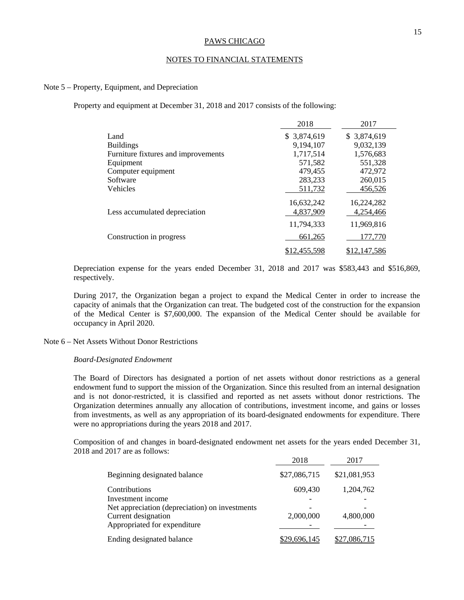#### NOTES TO FINANCIAL STATEMENTS

#### Note 5 – Property, Equipment, and Depreciation

Property and equipment at December 31, 2018 and 2017 consists of the following:

|                                     | 2018         | 2017         |
|-------------------------------------|--------------|--------------|
| Land                                | \$ 3,874,619 | \$ 3,874,619 |
| <b>Buildings</b>                    | 9,194,107    | 9,032,139    |
| Furniture fixtures and improvements | 1,717,514    | 1,576,683    |
| Equipment                           | 571,582      | 551,328      |
| Computer equipment                  | 479,455      | 472,972      |
| Software                            | 283,233      | 260,015      |
| Vehicles                            | 511,732      | 456,526      |
|                                     | 16,632,242   | 16,224,282   |
| Less accumulated depreciation       | 4,837,909    | 4,254,466    |
|                                     | 11.794.333   | 11.969.816   |
| Construction in progress            | 661,265      | 177,770      |
|                                     | \$12,455,598 | \$12,147,586 |

Depreciation expense for the years ended December 31, 2018 and 2017 was \$583,443 and \$516,869, respectively.

During 2017, the Organization began a project to expand the Medical Center in order to increase the capacity of animals that the Organization can treat. The budgeted cost of the construction for the expansion of the Medical Center is \$7,600,000. The expansion of the Medical Center should be available for occupancy in April 2020.

### Note 6 – Net Assets Without Donor Restrictions

#### *Board-Designated Endowment*

The Board of Directors has designated a portion of net assets without donor restrictions as a general endowment fund to support the mission of the Organization. Since this resulted from an internal designation and is not donor-restricted, it is classified and reported as net assets without donor restrictions. The Organization determines annually any allocation of contributions, investment income, and gains or losses from investments, as well as any appropriation of its board-designated endowments for expenditure. There were no appropriations during the years 2018 and 2017.

Composition of and changes in board-designated endowment net assets for the years ended December 31, 2018 and 2017 are as follows:

|                                                | 2018         | 2017         |
|------------------------------------------------|--------------|--------------|
| Beginning designated balance                   | \$27,086,715 | \$21,081,953 |
| Contributions                                  | 609,430      | 1,204,762    |
| Investment income                              |              |              |
| Net appreciation (depreciation) on investments |              |              |
| Current designation                            | 2,000,000    | 4,800,000    |
| Appropriated for expenditure                   |              |              |
| Ending designated balance                      | \$29,696,145 | \$27,086,715 |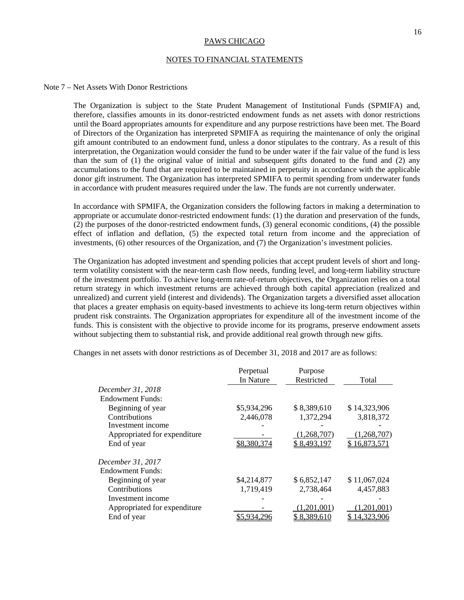#### NOTES TO FINANCIAL STATEMENTS

# Note 7 – Net Assets With Donor Restrictions

The Organization is subject to the State Prudent Management of Institutional Funds (SPMIFA) and, therefore, classifies amounts in its donor-restricted endowment funds as net assets with donor restrictions until the Board appropriates amounts for expenditure and any purpose restrictions have been met. The Board of Directors of the Organization has interpreted SPMIFA as requiring the maintenance of only the original gift amount contributed to an endowment fund, unless a donor stipulates to the contrary. As a result of this interpretation, the Organization would consider the fund to be under water if the fair value of the fund is less than the sum of (1) the original value of initial and subsequent gifts donated to the fund and (2) any accumulations to the fund that are required to be maintained in perpetuity in accordance with the applicable donor gift instrument. The Organization has interpreted SPMIFA to permit spending from underwater funds in accordance with prudent measures required under the law. The funds are not currently underwater.

In accordance with SPMIFA, the Organization considers the following factors in making a determination to appropriate or accumulate donor-restricted endowment funds: (1) the duration and preservation of the funds, (2) the purposes of the donor-restricted endowment funds, (3) general economic conditions, (4) the possible effect of inflation and deflation, (5) the expected total return from income and the appreciation of investments, (6) other resources of the Organization, and (7) the Organization's investment policies.

The Organization has adopted investment and spending policies that accept prudent levels of short and longterm volatility consistent with the near-term cash flow needs, funding level, and long-term liability structure of the investment portfolio. To achieve long-term rate-of-return objectives, the Organization relies on a total return strategy in which investment returns are achieved through both capital appreciation (realized and unrealized) and current yield (interest and dividends). The Organization targets a diversified asset allocation that places a greater emphasis on equity-based investments to achieve its long-term return objectives within prudent risk constraints. The Organization appropriates for expenditure all of the investment income of the funds. This is consistent with the objective to provide income for its programs, preserve endowment assets without subjecting them to substantial risk, and provide additional real growth through new gifts.

Changes in net assets with donor restrictions as of December 31, 2018 and 2017 are as follows:

|                              | Perpetual   | Purpose     |              |
|------------------------------|-------------|-------------|--------------|
|                              | In Nature   | Restricted  | Total        |
| December 31, 2018            |             |             |              |
| Endowment Funds:             |             |             |              |
| Beginning of year            | \$5,934,296 | \$8,389,610 | \$14,323,906 |
| Contributions                | 2,446,078   | 1,372,294   | 3,818,372    |
| Investment income            |             |             |              |
| Appropriated for expenditure |             | (1,268,707) | (1,268,707)  |
| End of year                  | \$8,380,374 | \$8,493,197 | \$16,873,571 |
| December 31, 2017            |             |             |              |
| Endowment Funds:             |             |             |              |
| Beginning of year            | \$4,214,877 | \$6,852,147 | \$11,067,024 |
| Contributions                | 1,719,419   | 2,738,464   | 4,457,883    |
| Investment income            |             |             |              |
| Appropriated for expenditure |             | 1.201.001   | 1.201.001    |
| End of year                  |             | \$8,389,610 | 14.323.906   |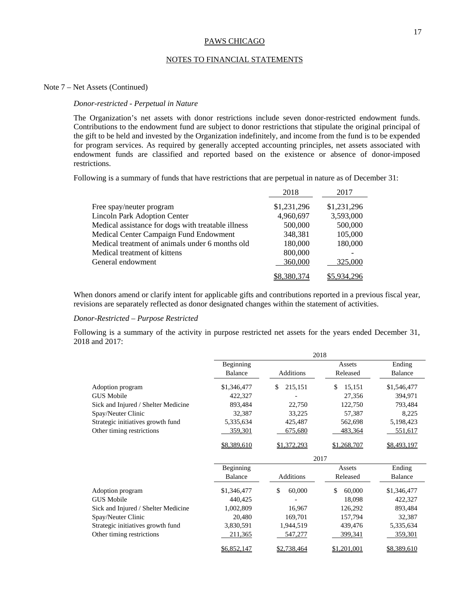# NOTES TO FINANCIAL STATEMENTS

# Note 7 – Net Assets (Continued)

#### *Donor-restricted - Perpetual in Nature*

The Organization's net assets with donor restrictions include seven donor-restricted endowment funds. Contributions to the endowment fund are subject to donor restrictions that stipulate the original principal of the gift to be held and invested by the Organization indefinitely, and income from the fund is to be expended for program services. As required by generally accepted accounting principles, net assets associated with endowment funds are classified and reported based on the existence or absence of donor-imposed restrictions.

Following is a summary of funds that have restrictions that are perpetual in nature as of December 31:

|                                                    | 2018        | 2017        |
|----------------------------------------------------|-------------|-------------|
| Free spay/neuter program                           | \$1,231,296 | \$1,231,296 |
| <b>Lincoln Park Adoption Center</b>                | 4,960,697   | 3,593,000   |
| Medical assistance for dogs with treatable illness | 500,000     | 500,000     |
| Medical Center Campaign Fund Endowment             | 348,381     | 105,000     |
| Medical treatment of animals under 6 months old    | 180,000     | 180,000     |
| Medical treatment of kittens                       | 800,000     |             |
| General endowment                                  | 360,000     | 325,000     |
|                                                    | \$8,380,374 | \$5.934.296 |

When donors amend or clarify intent for applicable gifts and contributions reported in a previous fiscal year, revisions are separately reflected as donor designated changes within the statement of activities.

#### *Donor-Restricted – Purpose Restricted*

Following is a summary of the activity in purpose restricted net assets for the years ended December 31, 2018 and 2017:

|                                     | 2018                 |               |                    |                          |  |
|-------------------------------------|----------------------|---------------|--------------------|--------------------------|--|
|                                     | Beginning<br>Balance | Additions     | Assets<br>Released | Ending<br><b>Balance</b> |  |
| Adoption program                    | \$1,346,477          | \$<br>215,151 | 15,151<br>\$       | \$1,546,477              |  |
| <b>GUS Mobile</b>                   | 422,327              |               | 27,356             | 394,971                  |  |
| Sick and Injured / Shelter Medicine | 893,484              | 22,750        | 122,750            | 793,484                  |  |
| Spay/Neuter Clinic                  | 32,387               | 33,225        | 57,387             | 8,225                    |  |
| Strategic initiatives growth fund   | 5,335,634            | 425,487       | 562,698            | 5,198,423                |  |
| Other timing restrictions           | 359,301              | 675,680       | 483,364            | 551,617                  |  |
|                                     | \$8,389,610          | \$1,372,293   | \$1,268,707        | \$8,493,197              |  |
|                                     |                      | 2017          |                    |                          |  |
|                                     | Beginning            |               | Assets             | Ending                   |  |
|                                     | Balance              | Additions     | Released           | <b>Balance</b>           |  |
| Adoption program                    | \$1,346,477          | \$<br>60,000  | \$<br>60,000       | \$1,346,477              |  |
| <b>GUS Mobile</b>                   | 440,425              |               | 18,098             | 422,327                  |  |
| Sick and Injured / Shelter Medicine | 1,002,809            | 16,967        | 126,292            | 893,484                  |  |
| Spay/Neuter Clinic                  | 20,480               | 169,701       | 157,794            | 32,387                   |  |
| Strategic initiatives growth fund   | 3,830,591            | 1,944,519     | 439,476            | 5,335,634                |  |
| Other timing restrictions           | 211,365              | 547,277       | 399,341            | 359,301                  |  |
|                                     | \$6,852,147          | \$2,738,464   | \$1,201,001        | \$8,389,610              |  |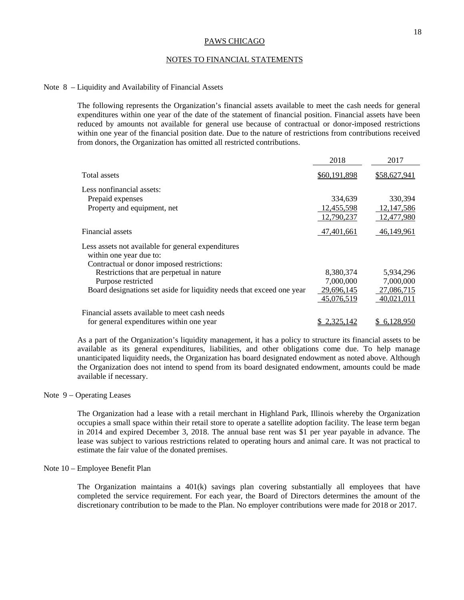#### NOTES TO FINANCIAL STATEMENTS

#### Note 8 – Liquidity and Availability of Financial Assets

The following represents the Organization's financial assets available to meet the cash needs for general expenditures within one year of the date of the statement of financial position. Financial assets have been reduced by amounts not available for general use because of contractual or donor-imposed restrictions within one year of the financial position date. Due to the nature of restrictions from contributions received from donors, the Organization has omitted all restricted contributions.

|                                                                               | 2018         | 2017         |
|-------------------------------------------------------------------------------|--------------|--------------|
| Total assets                                                                  | \$60,191,898 | \$58,627,941 |
| Less nonfinancial assets:                                                     |              |              |
| Prepaid expenses                                                              | 334,639      | 330,394      |
| Property and equipment, net                                                   | 12,455,598   | 12, 147, 586 |
|                                                                               | 12,790,237   | 12,477,980   |
| Financial assets                                                              | 47,401,661   | 46,149,961   |
| Less assets not available for general expenditures<br>within one year due to: |              |              |
| Contractual or donor imposed restrictions:                                    |              |              |
| Restrictions that are perpetual in nature                                     | 8,380,374    | 5,934,296    |
| Purpose restricted                                                            | 7,000,000    | 7,000,000    |
| Board designations set aside for liquidity needs that exceed one year         | 29,696,145   | 27,086,715   |
|                                                                               | 45,076,519   | 40,021,011   |
| Financial assets available to meet cash needs                                 |              |              |
| for general expenditures within one year                                      | 2.325.142    | 6,128,950    |

As a part of the Organization's liquidity management, it has a policy to structure its financial assets to be available as its general expenditures, liabilities, and other obligations come due. To help manage unanticipated liquidity needs, the Organization has board designated endowment as noted above. Although the Organization does not intend to spend from its board designated endowment, amounts could be made available if necessary.

#### Note  $9 -$ Operating Leases

The Organization had a lease with a retail merchant in Highland Park, Illinois whereby the Organization occupies a small space within their retail store to operate a satellite adoption facility. The lease term began in 2014 and expired December 3, 2018. The annual base rent was \$1 per year payable in advance. The lease was subject to various restrictions related to operating hours and animal care. It was not practical to estimate the fair value of the donated premises.

### Note 10 – Employee Benefit Plan

The Organization maintains a 401(k) savings plan covering substantially all employees that have completed the service requirement. For each year, the Board of Directors determines the amount of the discretionary contribution to be made to the Plan. No employer contributions were made for 2018 or 2017.